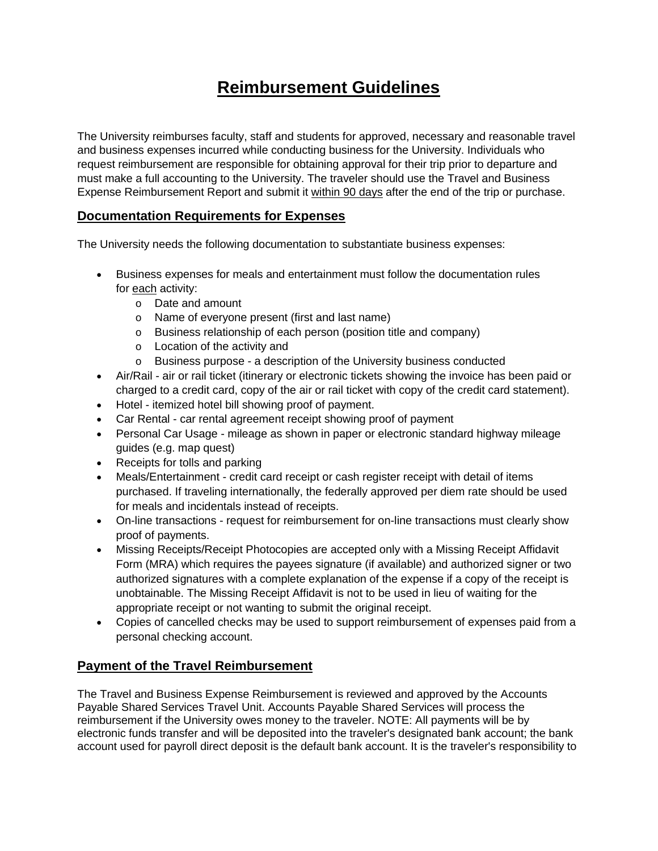## **Reimbursement Guidelines**

The University reimburses faculty, staff and students for approved, necessary and reasonable travel and business expenses incurred while conducting business for the University. Individuals who request reimbursement are responsible for obtaining approval for their trip prior to departure and must make a full accounting to the University. The traveler should use the Travel and Business Expense Reimbursement Report and submit it within 90 days after the end of the trip or purchase.

## **Documentation Requirements for Expenses**

The University needs the following documentation to substantiate business expenses:

- Business expenses for meals and entertainment must follow the documentation rules for each activity:
	- o Date and amount
	- o Name of everyone present (first and last name)
	- o Business relationship of each person (position title and company)
	- o Location of the activity and
	- o Business purpose a description of the University business conducted
- Air/Rail air or rail ticket (itinerary or electronic tickets showing the invoice has been paid or charged to a credit card, copy of the air or rail ticket with copy of the credit card statement).
- Hotel itemized hotel bill showing proof of payment.
- Car Rental car rental agreement receipt showing proof of payment
- Personal Car Usage mileage as shown in paper or electronic standard highway mileage guides (e.g. map quest)
- Receipts for tolls and parking
- Meals/Entertainment credit card receipt or cash register receipt with detail of items purchased. If traveling internationally, the federally approved per diem rate should be used for meals and incidentals instead of receipts.
- On-line transactions request for reimbursement for on-line transactions must clearly show proof of payments.
- Missing Receipts/Receipt Photocopies are accepted only with a Missing Receipt Affidavit Form (MRA) which requires the payees signature (if available) and authorized signer or two authorized signatures with a complete explanation of the expense if a copy of the receipt is unobtainable. The Missing Receipt Affidavit is not to be used in lieu of waiting for the appropriate receipt or not wanting to submit the original receipt.
- Copies of cancelled checks may be used to support reimbursement of expenses paid from a personal checking account.

## **Payment of the Travel Reimbursement**

The Travel and Business Expense Reimbursement is reviewed and approved by the Accounts Payable Shared Services Travel Unit. Accounts Payable Shared Services will process the reimbursement if the University owes money to the traveler. NOTE: All payments will be by electronic funds transfer and will be deposited into the traveler's designated bank account; the bank account used for payroll direct deposit is the default bank account. It is the traveler's responsibility to